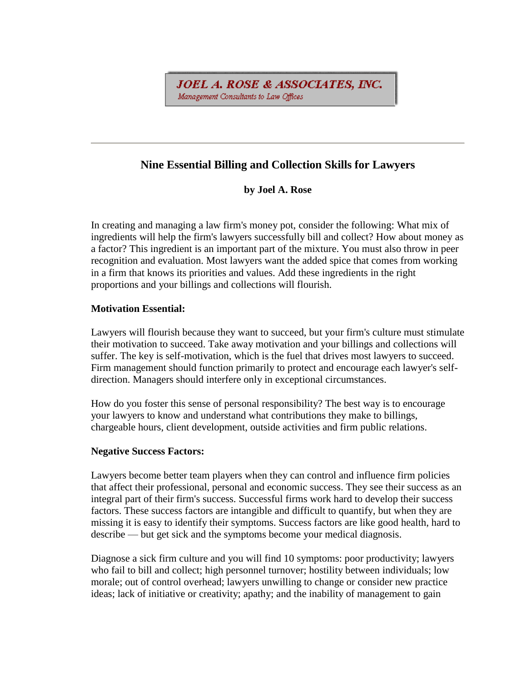**JOEL A. ROSE & ASSOCIATES, INC.** Management Consultants to Law Offices

# **Nine Essential Billing and Collection Skills for Lawyers**

**by Joel A. Rose**

In creating and managing a law firm's money pot, consider the following: What mix of ingredients will help the firm's lawyers successfully bill and collect? How about money as a factor? This ingredient is an important part of the mixture. You must also throw in peer recognition and evaluation. Most lawyers want the added spice that comes from working in a firm that knows its priorities and values. Add these ingredients in the right proportions and your billings and collections will flourish.

# **Motivation Essential:**

Lawyers will flourish because they want to succeed, but your firm's culture must stimulate their motivation to succeed. Take away motivation and your billings and collections will suffer. The key is self-motivation, which is the fuel that drives most lawyers to succeed. Firm management should function primarily to protect and encourage each lawyer's selfdirection. Managers should interfere only in exceptional circumstances.

How do you foster this sense of personal responsibility? The best way is to encourage your lawyers to know and understand what contributions they make to billings, chargeable hours, client development, outside activities and firm public relations.

### **Negative Success Factors:**

Lawyers become better team players when they can control and influence firm policies that affect their professional, personal and economic success. They see their success as an integral part of their firm's success. Successful firms work hard to develop their success factors. These success factors are intangible and difficult to quantify, but when they are missing it is easy to identify their symptoms. Success factors are like good health, hard to describe — but get sick and the symptoms become your medical diagnosis.

Diagnose a sick firm culture and you will find 10 symptoms: poor productivity; lawyers who fail to bill and collect; high personnel turnover; hostility between individuals; low morale; out of control overhead; lawyers unwilling to change or consider new practice ideas; lack of initiative or creativity; apathy; and the inability of management to gain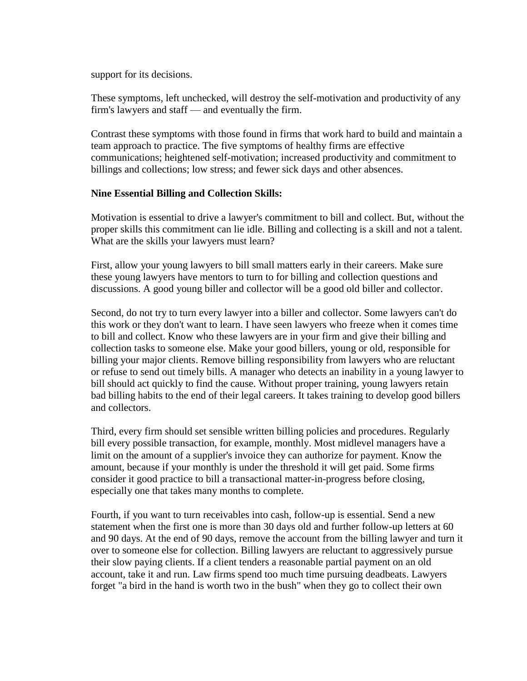support for its decisions.

These symptoms, left unchecked, will destroy the self-motivation and productivity of any firm's lawyers and staff — and eventually the firm.

Contrast these symptoms with those found in firms that work hard to build and maintain a team approach to practice. The five symptoms of healthy firms are effective communications; heightened self-motivation; increased productivity and commitment to billings and collections; low stress; and fewer sick days and other absences.

#### **Nine Essential Billing and Collection Skills:**

Motivation is essential to drive a lawyer's commitment to bill and collect. But, without the proper skills this commitment can lie idle. Billing and collecting is a skill and not a talent. What are the skills your lawyers must learn?

First, allow your young lawyers to bill small matters early in their careers. Make sure these young lawyers have mentors to turn to for billing and collection questions and discussions. A good young biller and collector will be a good old biller and collector.

Second, do not try to turn every lawyer into a biller and collector. Some lawyers can't do this work or they don't want to learn. I have seen lawyers who freeze when it comes time to bill and collect. Know who these lawyers are in your firm and give their billing and collection tasks to someone else. Make your good billers, young or old, responsible for billing your major clients. Remove billing responsibility from lawyers who are reluctant or refuse to send out timely bills. A manager who detects an inability in a young lawyer to bill should act quickly to find the cause. Without proper training, young lawyers retain bad billing habits to the end of their legal careers. It takes training to develop good billers and collectors.

Third, every firm should set sensible written billing policies and procedures. Regularly bill every possible transaction, for example, monthly. Most midlevel managers have a limit on the amount of a supplier's invoice they can authorize for payment. Know the amount, because if your monthly is under the threshold it will get paid. Some firms consider it good practice to bill a transactional matter-in-progress before closing, especially one that takes many months to complete.

Fourth, if you want to turn receivables into cash, follow-up is essential. Send a new statement when the first one is more than 30 days old and further follow-up letters at 60 and 90 days. At the end of 90 days, remove the account from the billing lawyer and turn it over to someone else for collection. Billing lawyers are reluctant to aggressively pursue their slow paying clients. If a client tenders a reasonable partial payment on an old account, take it and run. Law firms spend too much time pursuing deadbeats. Lawyers forget "a bird in the hand is worth two in the bush" when they go to collect their own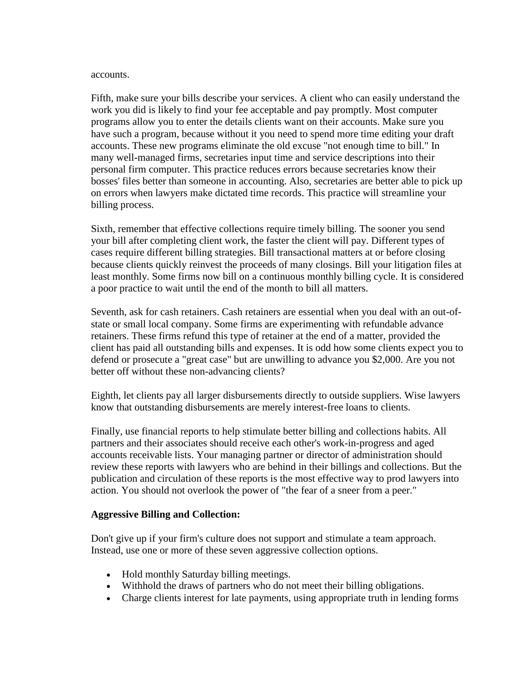#### accounts.

Fifth, make sure your bills describe your services. A client who can easily understand the work you did is likely to find your fee acceptable and pay promptly. Most computer programs allow you to enter the details clients want on their accounts. Make sure you have such a program, because without it you need to spend more time editing your draft accounts. These new programs eliminate the old excuse "not enough time to bill." In many well-managed firms, secretaries input time and service descriptions into their personal firm computer. This practice reduces errors because secretaries know their bosses' files better than someone in accounting. Also, secretaries are better able to pick up on errors when lawyers make dictated time records. This practice will streamline your billing process.

Sixth, remember that effective collections require timely billing. The sooner you send your bill after completing client work, the faster the client will pay. Different types of cases require different billing strategies. Bill transactional matters at or before closing because clients quickly reinvest the proceeds of many closings. Bill your litigation files at least monthly. Some firms now bill on a continuous monthly billing cycle. It is considered a poor practice to wait until the end of the month to bill all matters.

Seventh, ask for cash retainers. Cash retainers are essential when you deal with an out-ofstate or small local company. Some firms are experimenting with refundable advance retainers. These firms refund this type of retainer at the end of a matter, provided the client has paid all outstanding bills and expenses. It is odd how some clients expect you to defend or prosecute a "great case" but are unwilling to advance you \$2,000. Are you not better off without these non-advancing clients?

Eighth, let clients pay all larger disbursements directly to outside suppliers. Wise lawyers know that outstanding disbursements are merely interest-free loans to clients.

Finally, use financial reports to help stimulate better billing and collections habits. All partners and their associates should receive each other's work-in-progress and aged accounts receivable lists. Your managing partner or director of administration should review these reports with lawyers who are behind in their billings and collections. But the publication and circulation of these reports is the most effective way to prod lawyers into action. You should not overlook the power of "the fear of a sneer from a peer."

### **Aggressive Billing and Collection:**

Don't give up if your firm's culture does not support and stimulate a team approach. Instead, use one or more of these seven aggressive collection options.

- Hold monthly Saturday billing meetings.
- Withhold the draws of partners who do not meet their billing obligations.
- Charge clients interest for late payments, using appropriate truth in lending forms